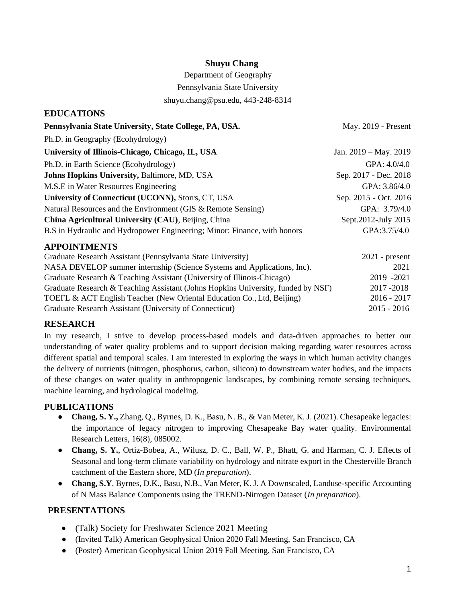### **Shuyu Chang**

Department of Geography

Pennsylvania State University

shuyu.chang@psu.edu, 443-248-8314

| EDUCA HONS                                                                       |                         |
|----------------------------------------------------------------------------------|-------------------------|
| Pennsylvania State University, State College, PA, USA.                           | May. 2019 - Present     |
| Ph.D. in Geography (Ecohydrology)                                                |                         |
| University of Illinois-Chicago, Chicago, IL, USA                                 | Jan. $2019 - May. 2019$ |
| Ph.D. in Earth Science (Ecohydrology)                                            | GPA: 4.0/4.0            |
| <b>Johns Hopkins University, Baltimore, MD, USA</b>                              | Sep. 2017 - Dec. 2018   |
| M.S.E in Water Resources Engineering                                             | GPA: 3.86/4.0           |
| University of Connecticut (UCONN), Storrs, CT, USA                               | Sep. 2015 - Oct. 2016   |
| Natural Resources and the Environment (GIS & Remote Sensing)                     | GPA: 3.79/4.0           |
| China Agricultural University (CAU), Beijing, China                              | Sept.2012-July 2015     |
| B.S in Hydraulic and Hydropower Engineering; Minor: Finance, with honors         | GPA:3.75/4.0            |
| <b>APPOINTMENTS</b>                                                              |                         |
| Graduate Research Assistant (Pennsylvania State University)                      | $2021$ - present        |
| NASA DEVELOP summer internship (Science Systems and Applications, Inc).          | 2021                    |
| Graduate Research & Teaching Assistant (University of Illinois-Chicago)          | 2019 - 2021             |
| Graduate Research & Teaching Assistant (Johns Hopkins University, funded by NSF) | 2017-2018               |
| TOEFL & ACT English Teacher (New Oriental Education Co., Ltd, Beijing)           | $2016 - 2017$           |
| Graduate Research Assistant (University of Connecticut)                          | 2015 - 2016             |

### **RESEARCH**

**EDUCATIONS**

In my research, I strive to develop process-based models and data-driven approaches to better our understanding of water quality problems and to support decision making regarding water resources across different spatial and temporal scales. I am interested in exploring the ways in which human activity changes the delivery of nutrients (nitrogen, phosphorus, carbon, silicon) to downstream water bodies, and the impacts of these changes on water quality in anthropogenic landscapes, by combining remote sensing techniques, machine learning, and hydrological modeling.

### **PUBLICATIONS**

- **Chang, S. Y.,** Zhang, Q., Byrnes, D. K., Basu, N. B., & Van Meter, K. J. (2021). Chesapeake legacies: the importance of legacy nitrogen to improving Chesapeake Bay water quality. Environmental Research Letters, 16(8), 085002.
- **Chang, S. Y.**, Ortiz-Bobea, A., Wilusz, D. C., Ball, W. P., Bhatt, G. and Harman, C. J. Effects of Seasonal and long-term climate variability on hydrology and nitrate export in the Chesterville Branch catchment of the Eastern shore, MD (*In preparation*).
- **Chang, S.Y**, Byrnes, D.K., Basu, N.B., Van Meter, K. J. A Downscaled, Landuse-specific Accounting of N Mass Balance Components using the TREND-Nitrogen Dataset (*In preparation*).

### **PRESENTATIONS**

- (Talk) Society for Freshwater Science 2021 Meeting
- (Invited Talk) American Geophysical Union 2020 Fall Meeting, San Francisco, CA
- (Poster) American Geophysical Union 2019 Fall Meeting, San Francisco, CA